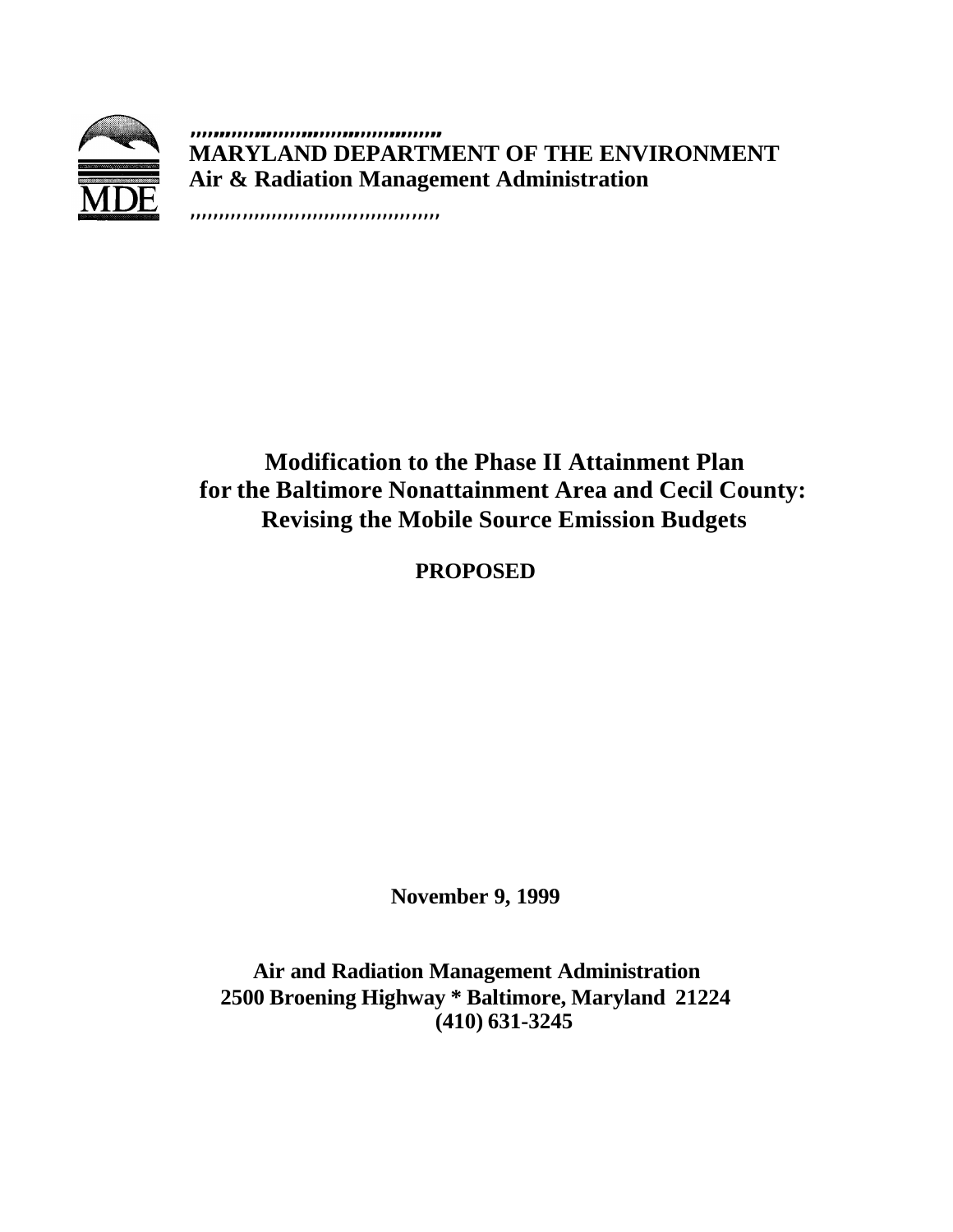

**,,,,,,,,,,,,,,,,,,,,,,,,,,,,,,,,,,,,,,,,,,, MARYLAND DEPARTMENT OF THE ENVIRONMENT Air & Radiation Management Administration**

,,,,,,,,,,,,,,,,,,,,,,,,,,,,,,,,,,,,,,,,,,,

# **Modification to the Phase II Attainment Plan for the Baltimore Nonattainment Area and Cecil County: Revising the Mobile Source Emission Budgets**

**PROPOSED**

**November 9, 1999**

**Air and Radiation Management Administration 2500 Broening Highway \* Baltimore, Maryland 21224 (410) 631-3245**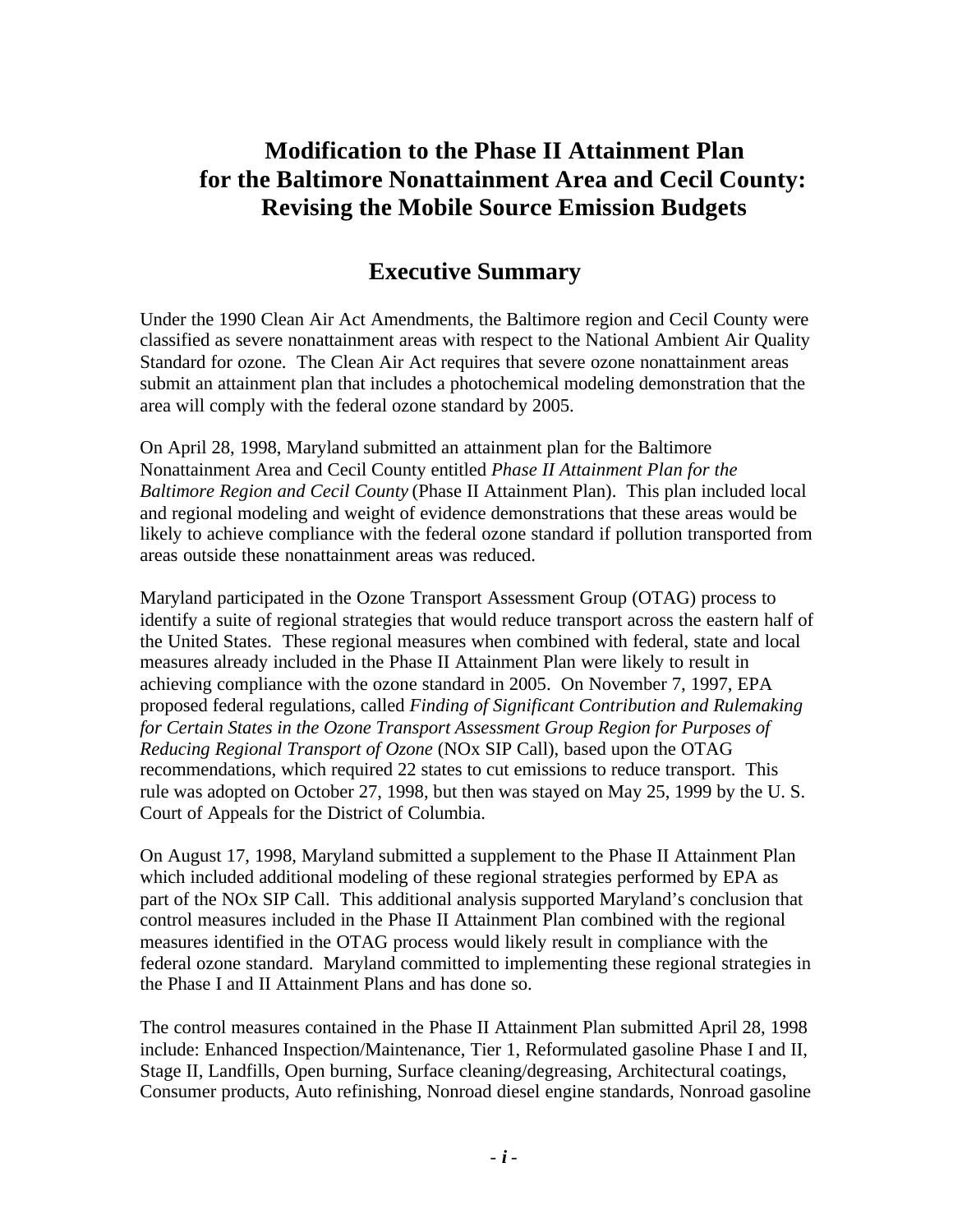# **Modification to the Phase II Attainment Plan for the Baltimore Nonattainment Area and Cecil County: Revising the Mobile Source Emission Budgets**

# **Executive Summary**

Under the 1990 Clean Air Act Amendments, the Baltimore region and Cecil County were classified as severe nonattainment areas with respect to the National Ambient Air Quality Standard for ozone. The Clean Air Act requires that severe ozone nonattainment areas submit an attainment plan that includes a photochemical modeling demonstration that the area will comply with the federal ozone standard by 2005.

On April 28, 1998, Maryland submitted an attainment plan for the Baltimore Nonattainment Area and Cecil County entitled *Phase II Attainment Plan for the Baltimore Region and Cecil County* (Phase II Attainment Plan). This plan included local and regional modeling and weight of evidence demonstrations that these areas would be likely to achieve compliance with the federal ozone standard if pollution transported from areas outside these nonattainment areas was reduced.

Maryland participated in the Ozone Transport Assessment Group (OTAG) process to identify a suite of regional strategies that would reduce transport across the eastern half of the United States. These regional measures when combined with federal, state and local measures already included in the Phase II Attainment Plan were likely to result in achieving compliance with the ozone standard in 2005. On November 7, 1997, EPA proposed federal regulations, called *Finding of Significant Contribution and Rulemaking for Certain States in the Ozone Transport Assessment Group Region for Purposes of Reducing Regional Transport of Ozone* (NOx SIP Call), based upon the OTAG recommendations, which required 22 states to cut emissions to reduce transport. This rule was adopted on October 27, 1998, but then was stayed on May 25, 1999 by the U. S. Court of Appeals for the District of Columbia.

On August 17, 1998, Maryland submitted a supplement to the Phase II Attainment Plan which included additional modeling of these regional strategies performed by EPA as part of the NOx SIP Call. This additional analysis supported Maryland's conclusion that control measures included in the Phase II Attainment Plan combined with the regional measures identified in the OTAG process would likely result in compliance with the federal ozone standard. Maryland committed to implementing these regional strategies in the Phase I and II Attainment Plans and has done so.

The control measures contained in the Phase II Attainment Plan submitted April 28, 1998 include: Enhanced Inspection/Maintenance, Tier 1, Reformulated gasoline Phase I and II, Stage II, Landfills, Open burning, Surface cleaning/degreasing, Architectural coatings, Consumer products, Auto refinishing, Nonroad diesel engine standards, Nonroad gasoline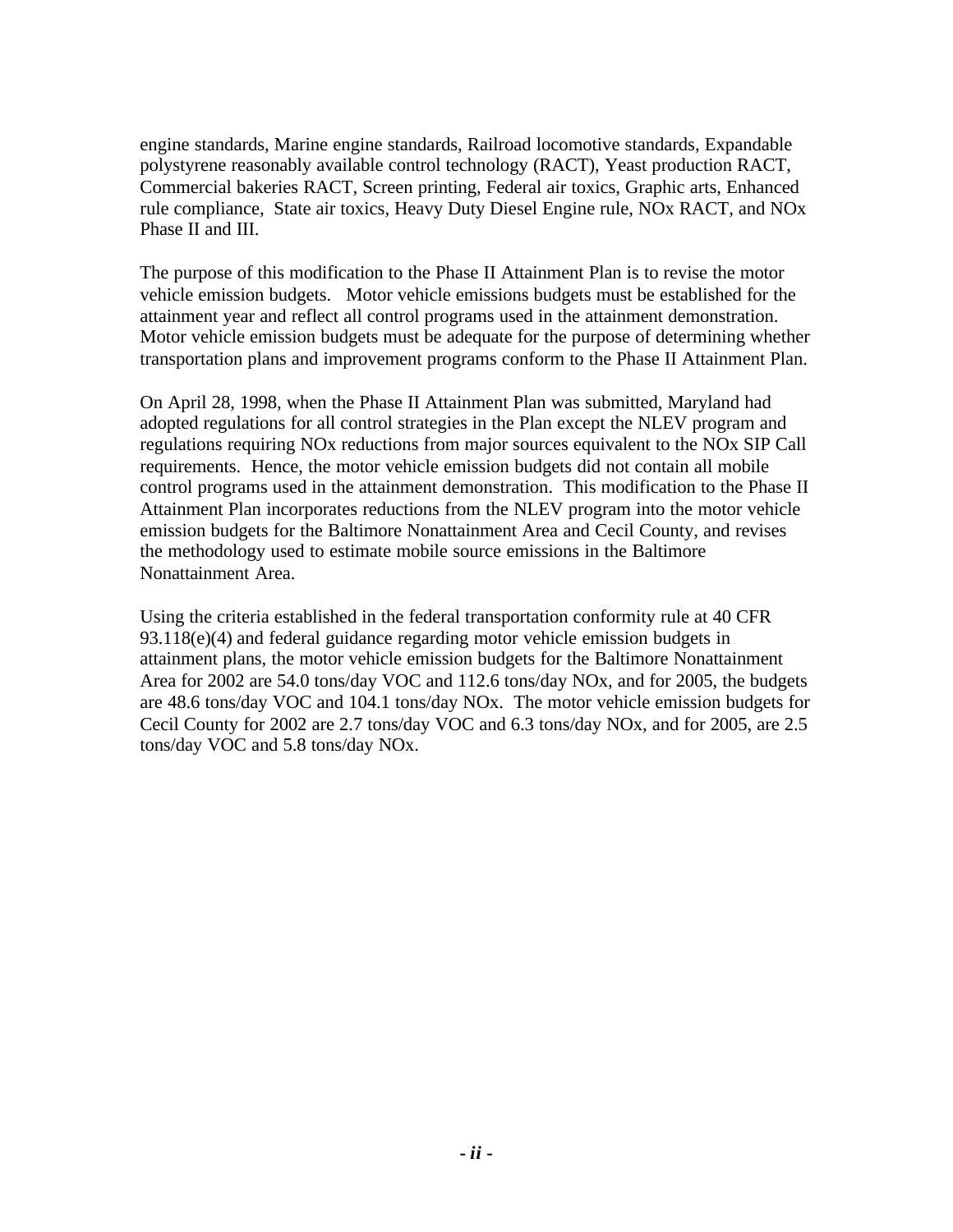engine standards, Marine engine standards, Railroad locomotive standards, Expandable polystyrene reasonably available control technology (RACT), Yeast production RACT, Commercial bakeries RACT, Screen printing, Federal air toxics, Graphic arts, Enhanced rule compliance, State air toxics, Heavy Duty Diesel Engine rule, NOx RACT, and NOx Phase II and III.

The purpose of this modification to the Phase II Attainment Plan is to revise the motor vehicle emission budgets. Motor vehicle emissions budgets must be established for the attainment year and reflect all control programs used in the attainment demonstration. Motor vehicle emission budgets must be adequate for the purpose of determining whether transportation plans and improvement programs conform to the Phase II Attainment Plan.

On April 28, 1998, when the Phase II Attainment Plan was submitted, Maryland had adopted regulations for all control strategies in the Plan except the NLEV program and regulations requiring NOx reductions from major sources equivalent to the NOx SIP Call requirements. Hence, the motor vehicle emission budgets did not contain all mobile control programs used in the attainment demonstration. This modification to the Phase II Attainment Plan incorporates reductions from the NLEV program into the motor vehicle emission budgets for the Baltimore Nonattainment Area and Cecil County, and revises the methodology used to estimate mobile source emissions in the Baltimore Nonattainment Area.

Using the criteria established in the federal transportation conformity rule at 40 CFR  $93.118(e)(4)$  and federal guidance regarding motor vehicle emission budgets in attainment plans, the motor vehicle emission budgets for the Baltimore Nonattainment Area for 2002 are 54.0 tons/day VOC and 112.6 tons/day NOx, and for 2005, the budgets are 48.6 tons/day VOC and 104.1 tons/day NOx. The motor vehicle emission budgets for Cecil County for 2002 are 2.7 tons/day VOC and 6.3 tons/day NOx, and for 2005, are 2.5 tons/day VOC and 5.8 tons/day NOx.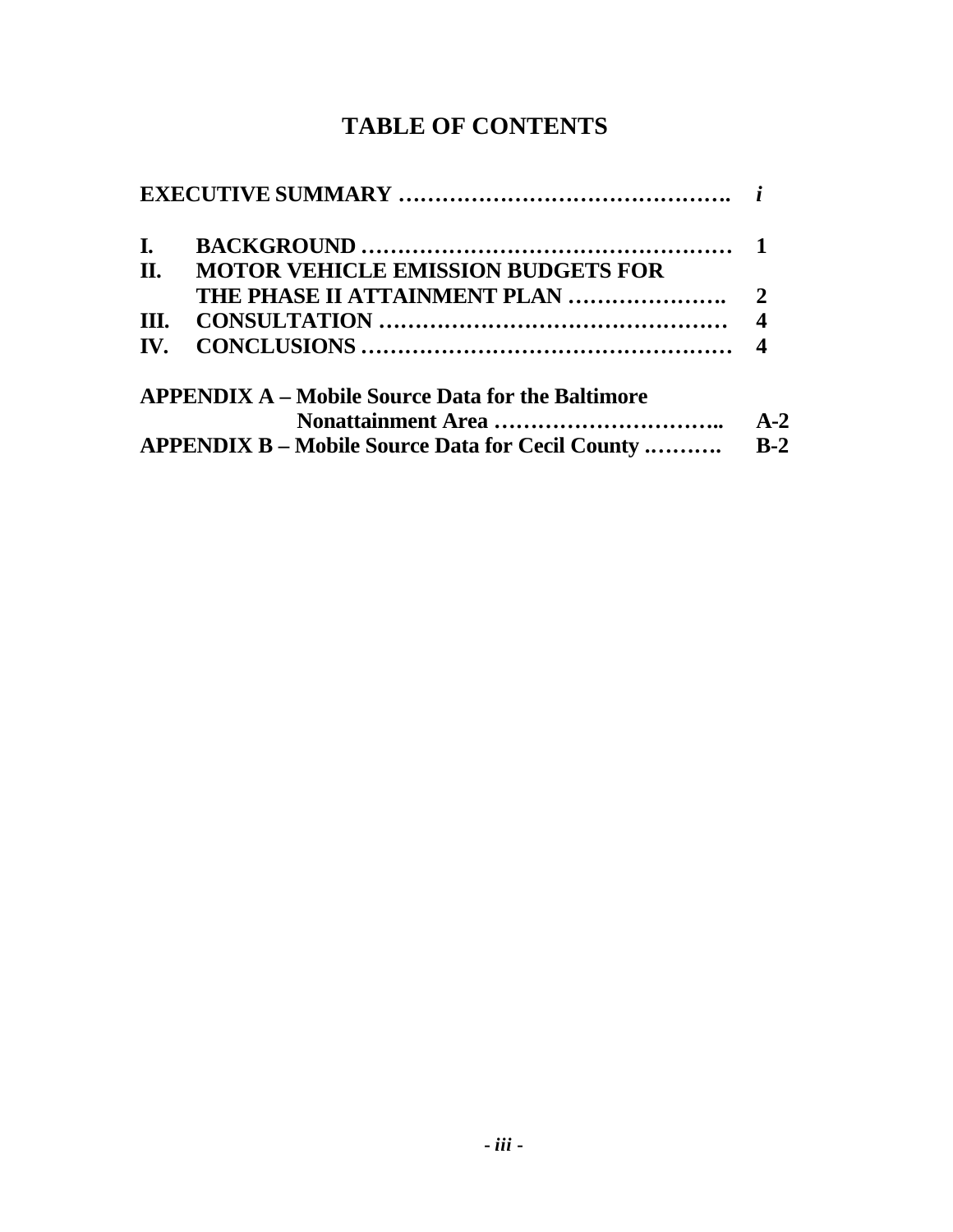# **TABLE OF CONTENTS**

| I.  |                                                          |       |
|-----|----------------------------------------------------------|-------|
| П.  | <b>MOTOR VEHICLE EMISSION BUDGETS FOR</b>                |       |
|     |                                                          |       |
| Ш.  |                                                          |       |
| IV. |                                                          |       |
|     | <b>APPENDIX A – Mobile Source Data for the Baltimore</b> |       |
|     |                                                          | $A-2$ |
|     | <b>APPENDIX B – Mobile Source Data for Cecil County </b> | $R-2$ |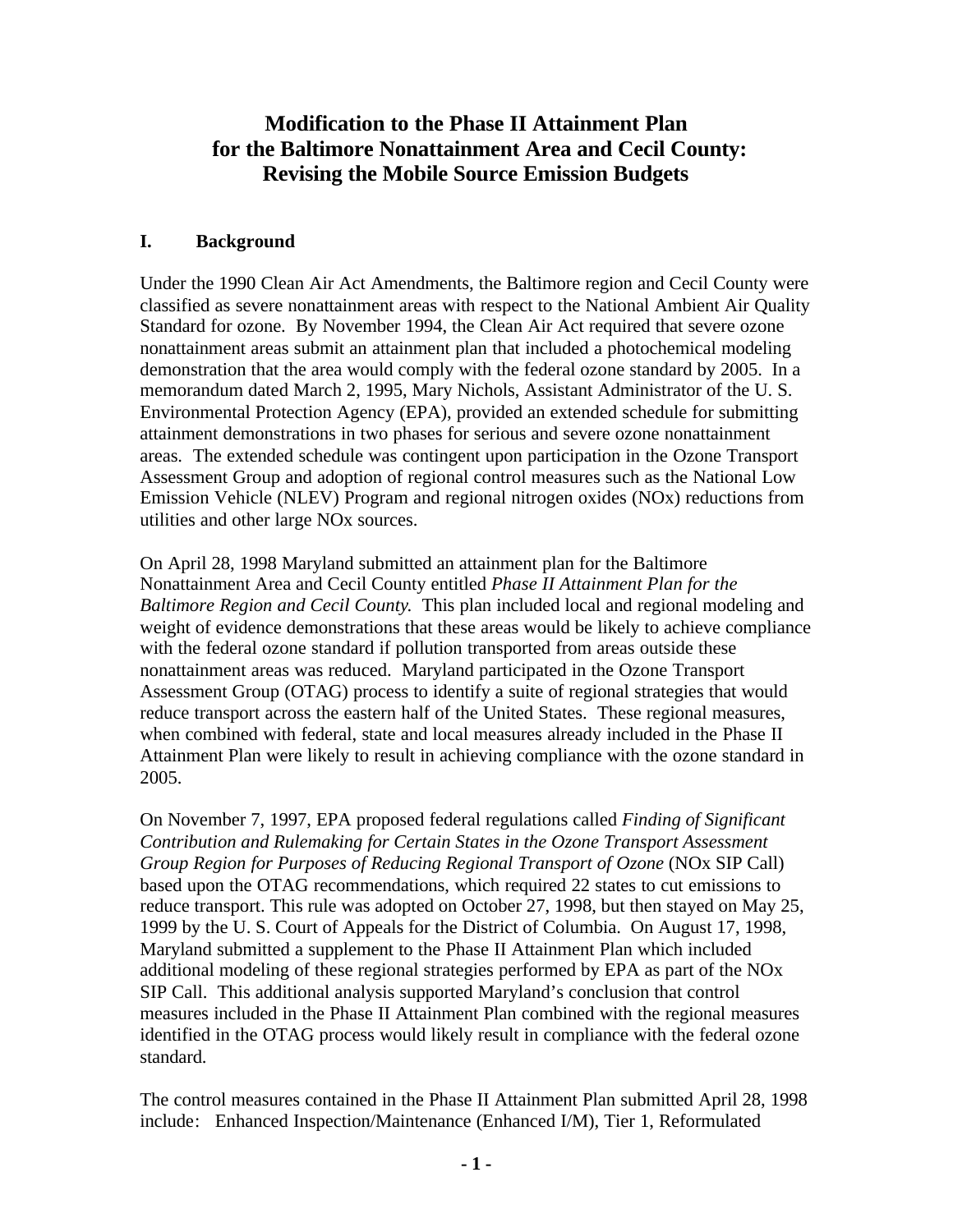## **Modification to the Phase II Attainment Plan for the Baltimore Nonattainment Area and Cecil County: Revising the Mobile Source Emission Budgets**

#### **I. Background**

Under the 1990 Clean Air Act Amendments, the Baltimore region and Cecil County were classified as severe nonattainment areas with respect to the National Ambient Air Quality Standard for ozone. By November 1994, the Clean Air Act required that severe ozone nonattainment areas submit an attainment plan that included a photochemical modeling demonstration that the area would comply with the federal ozone standard by 2005. In a memorandum dated March 2, 1995, Mary Nichols, Assistant Administrator of the U. S. Environmental Protection Agency (EPA), provided an extended schedule for submitting attainment demonstrations in two phases for serious and severe ozone nonattainment areas. The extended schedule was contingent upon participation in the Ozone Transport Assessment Group and adoption of regional control measures such as the National Low Emission Vehicle (NLEV) Program and regional nitrogen oxides (NOx) reductions from utilities and other large NOx sources.

On April 28, 1998 Maryland submitted an attainment plan for the Baltimore Nonattainment Area and Cecil County entitled *Phase II Attainment Plan for the Baltimore Region and Cecil County*. This plan included local and regional modeling and weight of evidence demonstrations that these areas would be likely to achieve compliance with the federal ozone standard if pollution transported from areas outside these nonattainment areas was reduced. Maryland participated in the Ozone Transport Assessment Group (OTAG) process to identify a suite of regional strategies that would reduce transport across the eastern half of the United States. These regional measures, when combined with federal, state and local measures already included in the Phase II Attainment Plan were likely to result in achieving compliance with the ozone standard in 2005.

On November 7, 1997, EPA proposed federal regulations called *Finding of Significant Contribution and Rulemaking for Certain States in the Ozone Transport Assessment Group Region for Purposes of Reducing Regional Transport of Ozone* (NOx SIP Call) based upon the OTAG recommendations, which required 22 states to cut emissions to reduce transport. This rule was adopted on October 27, 1998, but then stayed on May 25, 1999 by the U. S. Court of Appeals for the District of Columbia. On August 17, 1998, Maryland submitted a supplement to the Phase II Attainment Plan which included additional modeling of these regional strategies performed by EPA as part of the NOx SIP Call. This additional analysis supported Maryland's conclusion that control measures included in the Phase II Attainment Plan combined with the regional measures identified in the OTAG process would likely result in compliance with the federal ozone standard.

The control measures contained in the Phase II Attainment Plan submitted April 28, 1998 include: Enhanced Inspection/Maintenance (Enhanced I/M), Tier 1, Reformulated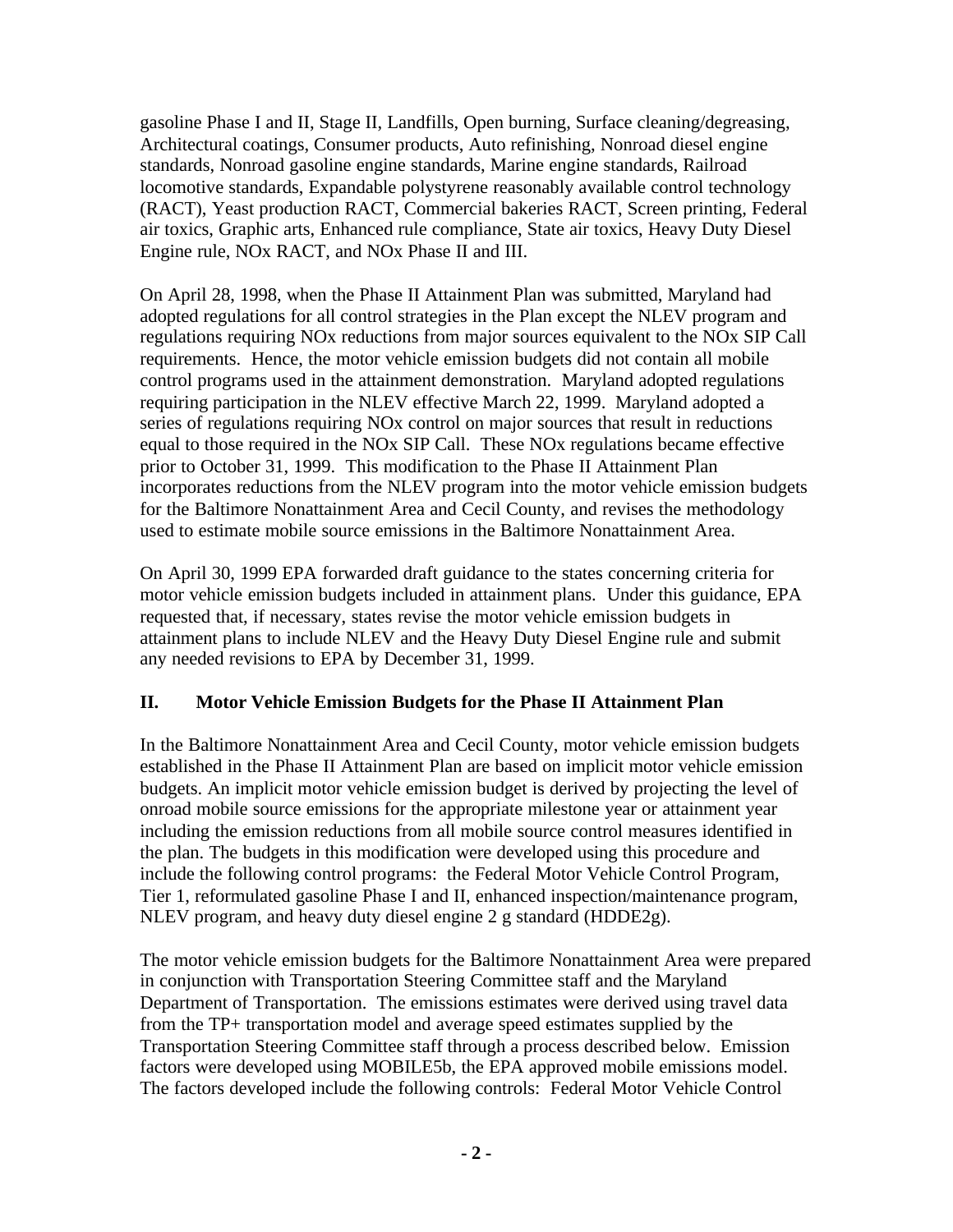gasoline Phase I and II, Stage II, Landfills, Open burning, Surface cleaning/degreasing, Architectural coatings, Consumer products, Auto refinishing, Nonroad diesel engine standards, Nonroad gasoline engine standards, Marine engine standards, Railroad locomotive standards, Expandable polystyrene reasonably available control technology (RACT), Yeast production RACT, Commercial bakeries RACT, Screen printing, Federal air toxics, Graphic arts, Enhanced rule compliance, State air toxics, Heavy Duty Diesel Engine rule, NOx RACT, and NOx Phase II and III.

On April 28, 1998, when the Phase II Attainment Plan was submitted, Maryland had adopted regulations for all control strategies in the Plan except the NLEV program and regulations requiring NOx reductions from major sources equivalent to the NOx SIP Call requirements. Hence, the motor vehicle emission budgets did not contain all mobile control programs used in the attainment demonstration. Maryland adopted regulations requiring participation in the NLEV effective March 22, 1999. Maryland adopted a series of regulations requiring NOx control on major sources that result in reductions equal to those required in the NOx SIP Call. These NOx regulations became effective prior to October 31, 1999. This modification to the Phase II Attainment Plan incorporates reductions from the NLEV program into the motor vehicle emission budgets for the Baltimore Nonattainment Area and Cecil County, and revises the methodology used to estimate mobile source emissions in the Baltimore Nonattainment Area.

On April 30, 1999 EPA forwarded draft guidance to the states concerning criteria for motor vehicle emission budgets included in attainment plans. Under this guidance, EPA requested that, if necessary, states revise the motor vehicle emission budgets in attainment plans to include NLEV and the Heavy Duty Diesel Engine rule and submit any needed revisions to EPA by December 31, 1999.

### **II. Motor Vehicle Emission Budgets for the Phase II Attainment Plan**

In the Baltimore Nonattainment Area and Cecil County, motor vehicle emission budgets established in the Phase II Attainment Plan are based on implicit motor vehicle emission budgets. An implicit motor vehicle emission budget is derived by projecting the level of onroad mobile source emissions for the appropriate milestone year or attainment year including the emission reductions from all mobile source control measures identified in the plan. The budgets in this modification were developed using this procedure and include the following control programs: the Federal Motor Vehicle Control Program, Tier 1, reformulated gasoline Phase I and II, enhanced inspection/maintenance program, NLEV program, and heavy duty diesel engine 2 g standard (HDDE2g).

The motor vehicle emission budgets for the Baltimore Nonattainment Area were prepared in conjunction with Transportation Steering Committee staff and the Maryland Department of Transportation. The emissions estimates were derived using travel data from the TP+ transportation model and average speed estimates supplied by the Transportation Steering Committee staff through a process described below. Emission factors were developed using MOBILE5b, the EPA approved mobile emissions model. The factors developed include the following controls: Federal Motor Vehicle Control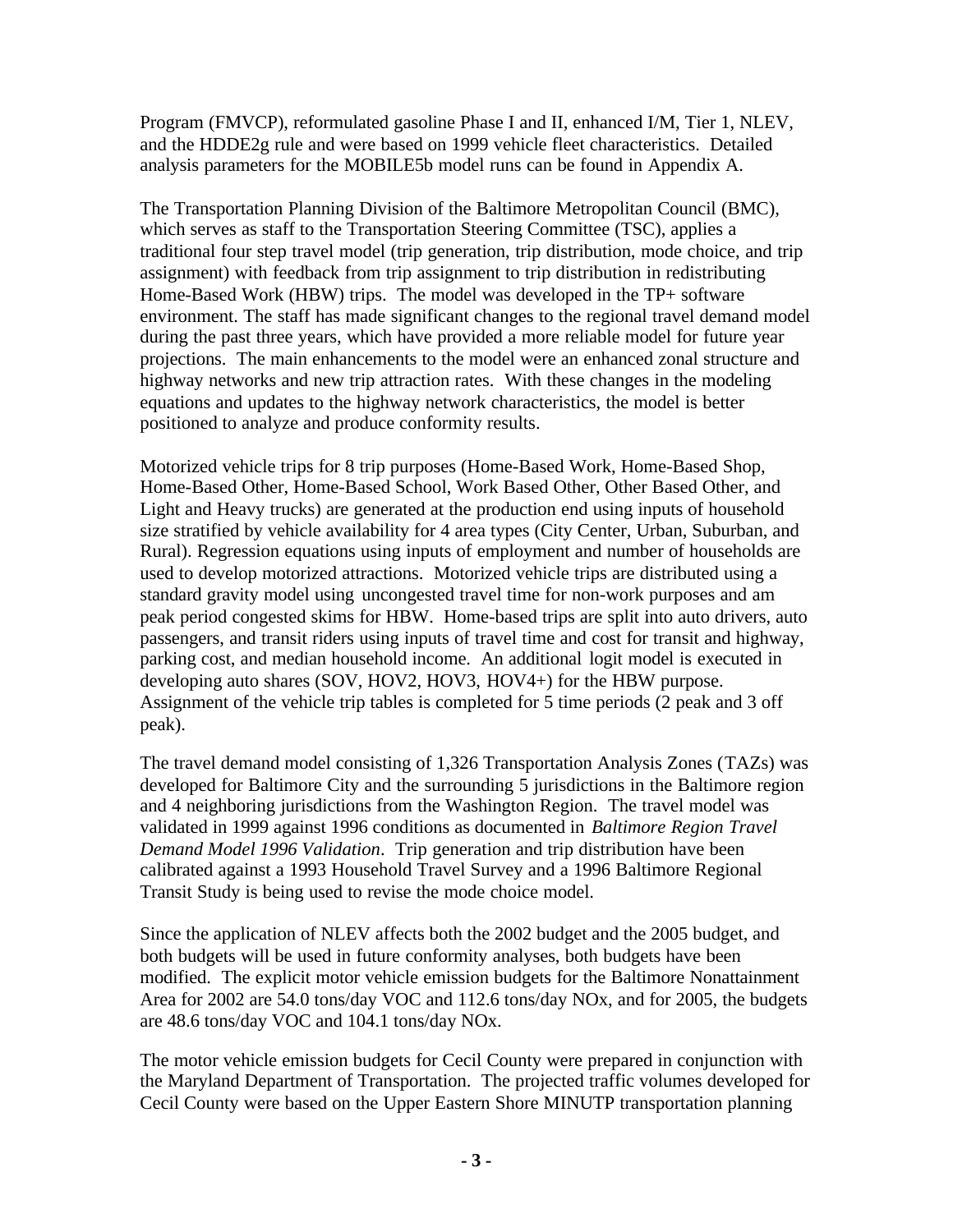Program (FMVCP), reformulated gasoline Phase I and II, enhanced I/M, Tier 1, NLEV, and the HDDE2g rule and were based on 1999 vehicle fleet characteristics. Detailed analysis parameters for the MOBILE5b model runs can be found in Appendix A.

The Transportation Planning Division of the Baltimore Metropolitan Council (BMC), which serves as staff to the Transportation Steering Committee (TSC), applies a traditional four step travel model (trip generation, trip distribution, mode choice, and trip assignment) with feedback from trip assignment to trip distribution in redistributing Home-Based Work (HBW) trips. The model was developed in the TP+ software environment. The staff has made significant changes to the regional travel demand model during the past three years, which have provided a more reliable model for future year projections. The main enhancements to the model were an enhanced zonal structure and highway networks and new trip attraction rates. With these changes in the modeling equations and updates to the highway network characteristics, the model is better positioned to analyze and produce conformity results.

Motorized vehicle trips for 8 trip purposes (Home-Based Work, Home-Based Shop, Home-Based Other, Home-Based School, Work Based Other, Other Based Other, and Light and Heavy trucks) are generated at the production end using inputs of household size stratified by vehicle availability for 4 area types (City Center, Urban, Suburban, and Rural). Regression equations using inputs of employment and number of households are used to develop motorized attractions. Motorized vehicle trips are distributed using a standard gravity model using uncongested travel time for non-work purposes and am peak period congested skims for HBW. Home-based trips are split into auto drivers, auto passengers, and transit riders using inputs of travel time and cost for transit and highway, parking cost, and median household income. An additional logit model is executed in developing auto shares (SOV, HOV2, HOV3, HOV4+) for the HBW purpose. Assignment of the vehicle trip tables is completed for 5 time periods (2 peak and 3 off peak).

The travel demand model consisting of 1,326 Transportation Analysis Zones (TAZs) was developed for Baltimore City and the surrounding 5 jurisdictions in the Baltimore region and 4 neighboring jurisdictions from the Washington Region. The travel model was validated in 1999 against 1996 conditions as documented in *Baltimore Region Travel Demand Model 1996 Validation*. Trip generation and trip distribution have been calibrated against a 1993 Household Travel Survey and a 1996 Baltimore Regional Transit Study is being used to revise the mode choice model.

Since the application of NLEV affects both the 2002 budget and the 2005 budget, and both budgets will be used in future conformity analyses, both budgets have been modified. The explicit motor vehicle emission budgets for the Baltimore Nonattainment Area for 2002 are 54.0 tons/day VOC and 112.6 tons/day NOx, and for 2005, the budgets are 48.6 tons/day VOC and 104.1 tons/day NOx.

The motor vehicle emission budgets for Cecil County were prepared in conjunction with the Maryland Department of Transportation. The projected traffic volumes developed for Cecil County were based on the Upper Eastern Shore MINUTP transportation planning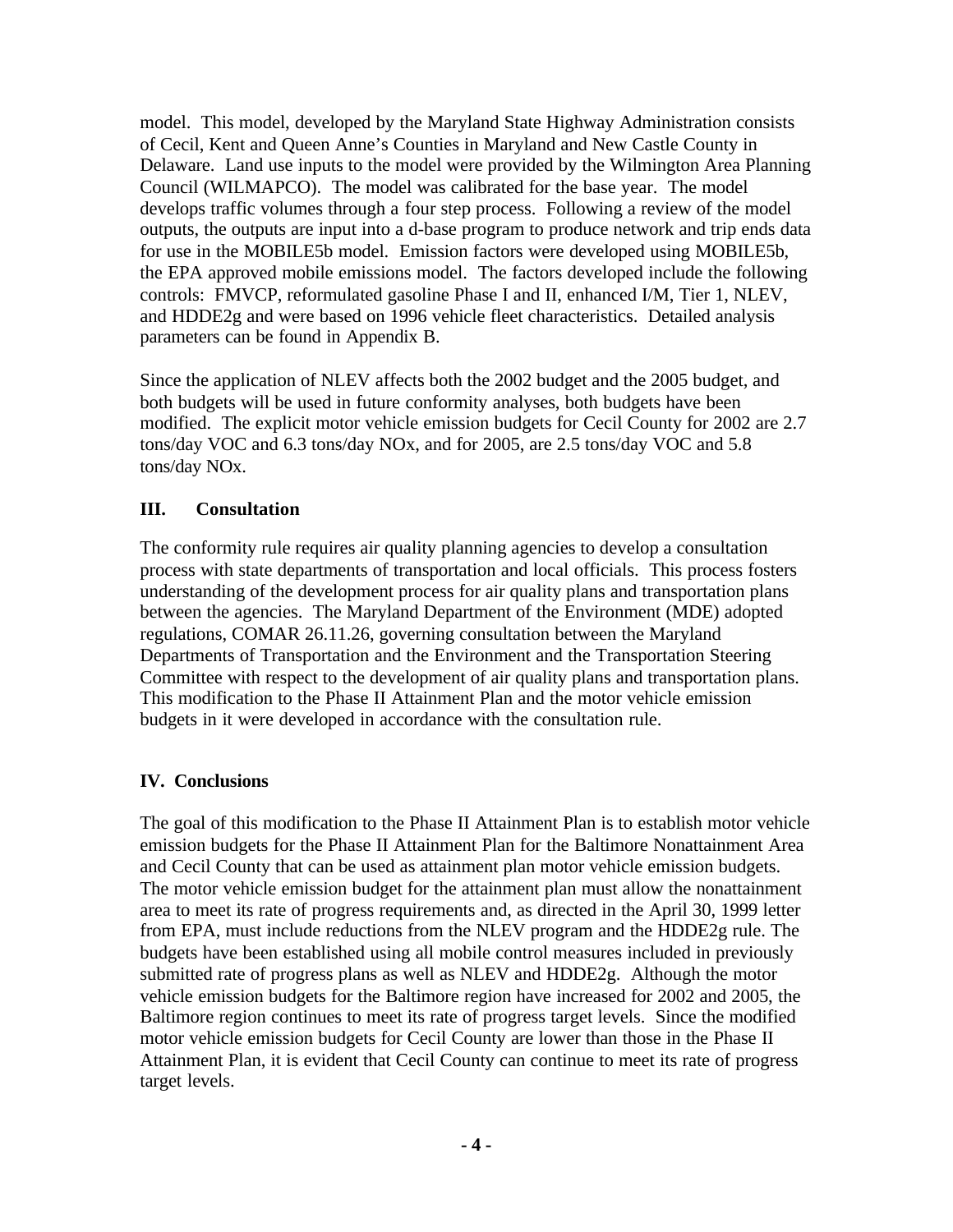model. This model, developed by the Maryland State Highway Administration consists of Cecil, Kent and Queen Anne's Counties in Maryland and New Castle County in Delaware. Land use inputs to the model were provided by the Wilmington Area Planning Council (WILMAPCO). The model was calibrated for the base year. The model develops traffic volumes through a four step process. Following a review of the model outputs, the outputs are input into a d-base program to produce network and trip ends data for use in the MOBILE5b model. Emission factors were developed using MOBILE5b, the EPA approved mobile emissions model. The factors developed include the following controls: FMVCP, reformulated gasoline Phase I and II, enhanced I/M, Tier 1, NLEV, and HDDE2g and were based on 1996 vehicle fleet characteristics. Detailed analysis parameters can be found in Appendix B.

Since the application of NLEV affects both the 2002 budget and the 2005 budget, and both budgets will be used in future conformity analyses, both budgets have been modified. The explicit motor vehicle emission budgets for Cecil County for 2002 are 2.7 tons/day VOC and 6.3 tons/day NOx, and for 2005, are 2.5 tons/day VOC and 5.8 tons/day NOx.

#### **III. Consultation**

The conformity rule requires air quality planning agencies to develop a consultation process with state departments of transportation and local officials. This process fosters understanding of the development process for air quality plans and transportation plans between the agencies. The Maryland Department of the Environment (MDE) adopted regulations, COMAR 26.11.26, governing consultation between the Maryland Departments of Transportation and the Environment and the Transportation Steering Committee with respect to the development of air quality plans and transportation plans. This modification to the Phase II Attainment Plan and the motor vehicle emission budgets in it were developed in accordance with the consultation rule.

#### **IV. Conclusions**

The goal of this modification to the Phase II Attainment Plan is to establish motor vehicle emission budgets for the Phase II Attainment Plan for the Baltimore Nonattainment Area and Cecil County that can be used as attainment plan motor vehicle emission budgets. The motor vehicle emission budget for the attainment plan must allow the nonattainment area to meet its rate of progress requirements and, as directed in the April 30, 1999 letter from EPA, must include reductions from the NLEV program and the HDDE2g rule. The budgets have been established using all mobile control measures included in previously submitted rate of progress plans as well as NLEV and HDDE2g. Although the motor vehicle emission budgets for the Baltimore region have increased for 2002 and 2005, the Baltimore region continues to meet its rate of progress target levels. Since the modified motor vehicle emission budgets for Cecil County are lower than those in the Phase II Attainment Plan, it is evident that Cecil County can continue to meet its rate of progress target levels.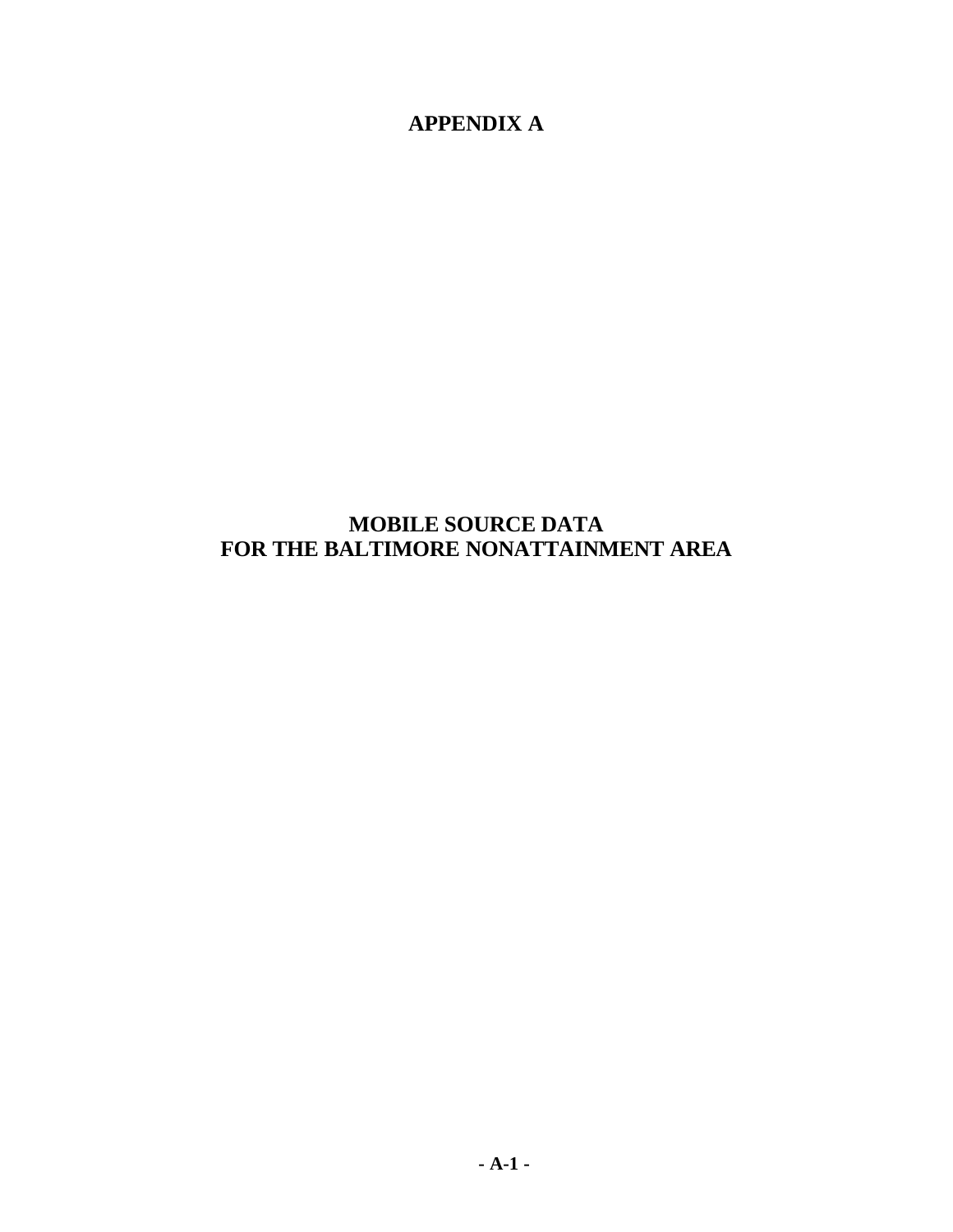**APPENDIX A**

# **MOBILE SOURCE DATA FOR THE BALTIMORE NONATTAINMENT AREA**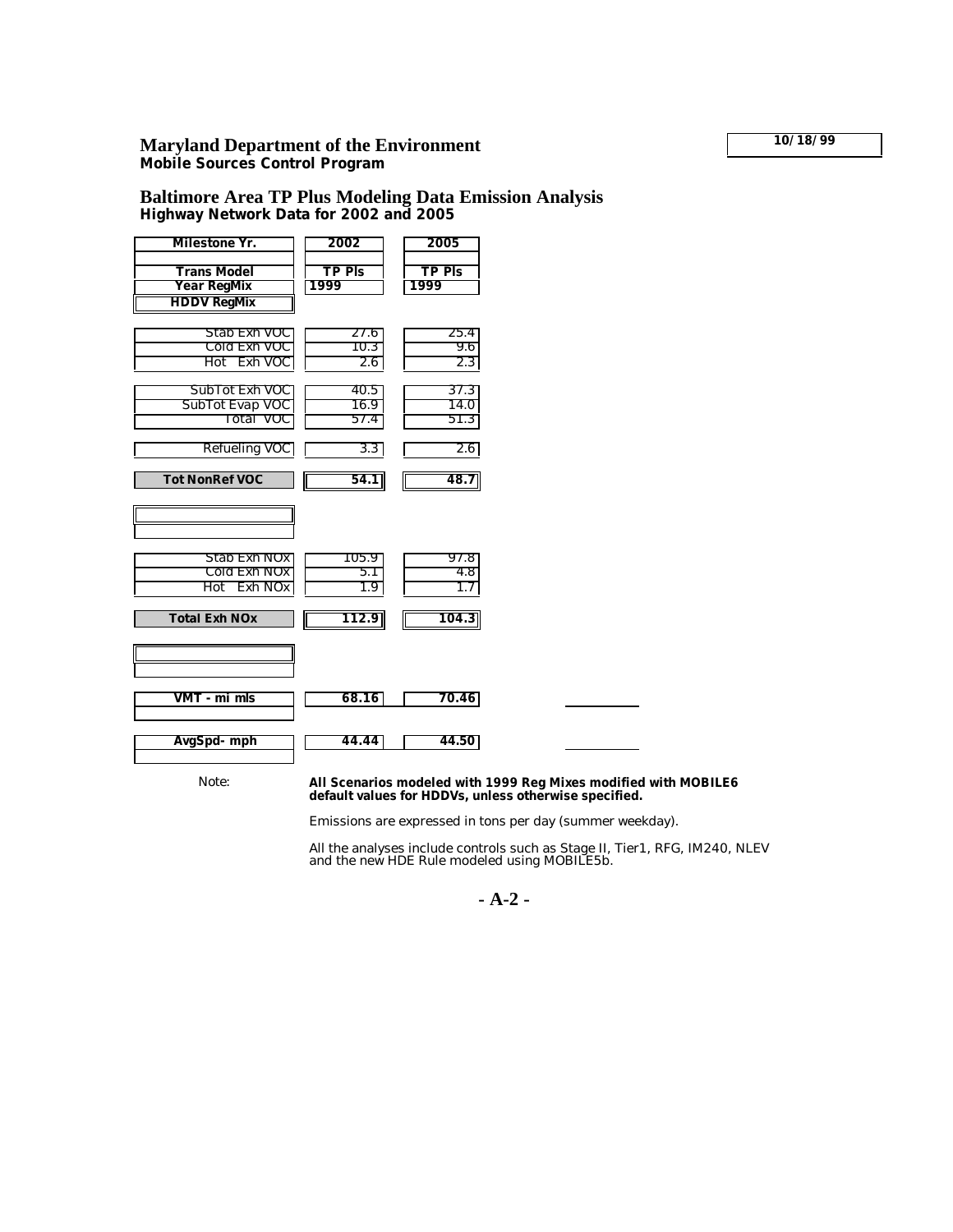# **Maryland Department of the Environment 10/18/99**

**Mobile Sources Control Program**

#### **Baltimore Area TP Plus Modeling Data Emission Analysis Highway Network Data for 2002 and 2005**

| Milestone Yr.                                           | 2002                  | 2005                  |  |
|---------------------------------------------------------|-----------------------|-----------------------|--|
| <b>Trans Model</b><br>Year RegMix<br><b>HDDV RegMix</b> | <b>TP PIS</b><br>1999 | <b>TP PIS</b><br>1999 |  |
| Stab Exh VOC<br>Cold Exh VOC<br>Hot Exh VOC             | 27.6<br>10.3<br>2.6   | 25.4<br>9.6<br>2.3    |  |
| Sub Tot Exh VOC<br>SubTot Evap VOC<br>Total VOC         | 40.5<br>16.9<br>57.4  | 37.3<br>14.0<br>51.3  |  |
| Refueling VOC<br><b>Tot NonRef VOC</b>                  | 3.3<br>54.1           | 2.6<br>48.7           |  |
|                                                         |                       |                       |  |
| Stab Exh NOx<br>Cold Exh NOx<br>Hot Exh NOx             | 105.9<br>5.1<br>1.9   | 97.8<br>4.8<br>1.7    |  |
| <b>Total Exh NOx</b>                                    | 112.9                 | 104.3                 |  |
| VMT - mi mls                                            | 68.16                 | 70.46                 |  |
| AvgSpd-mph                                              | 44.44                 | 44.50                 |  |

#### Note: **All Scenarios modeled with 1999 Reg Mixes modified with MOBILE6 default values for HDDVs, unless otherwise specified.**

Emissions are expressed in tons per day (summer weekday).

All the analyses include controls such as Stage II, Tier1, RFG, IM240, NLEV and the new HDE Rule modeled using MOBILE5b.

**- A-2 -**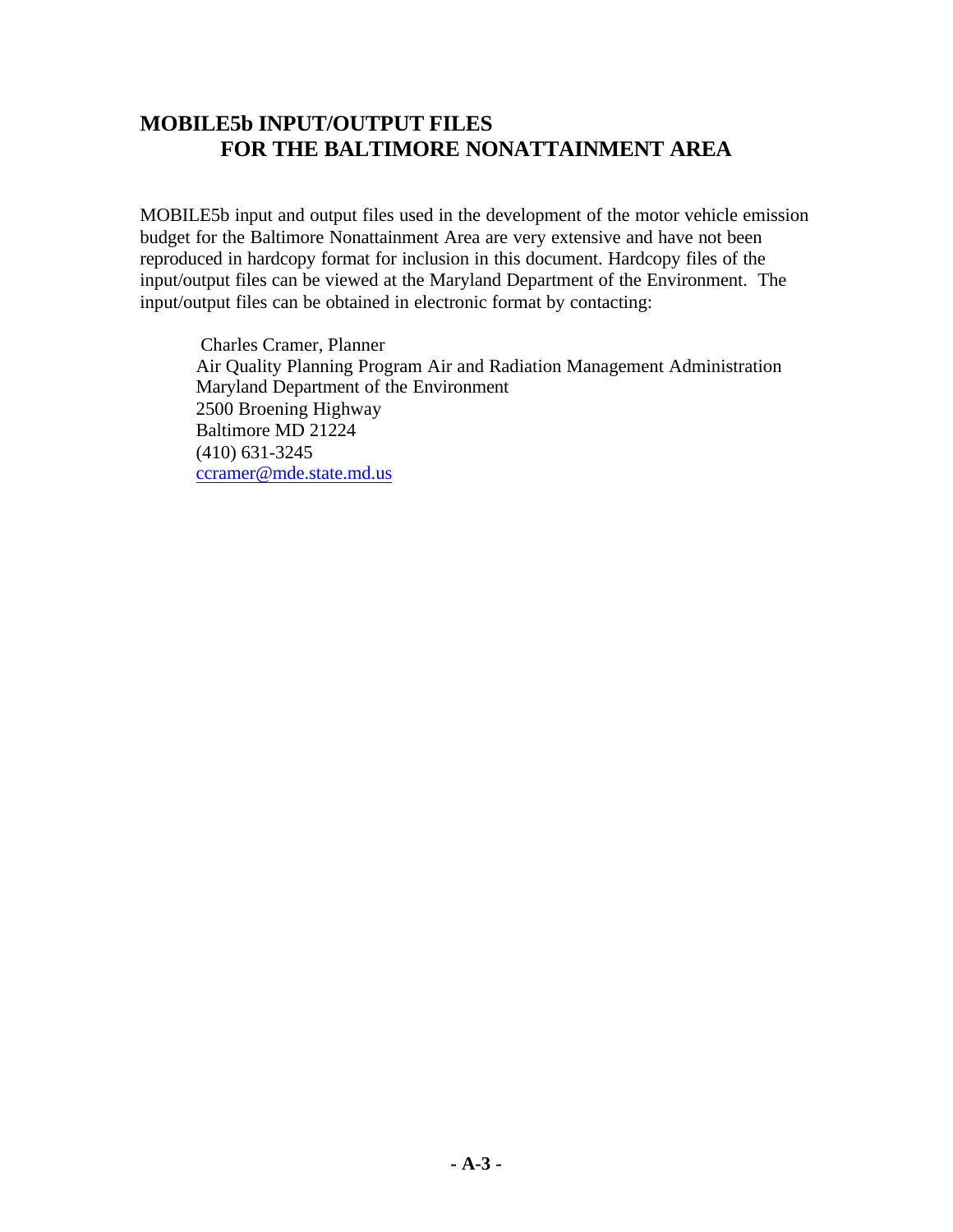# **MOBILE5b INPUT/OUTPUT FILES FOR THE BALTIMORE NONATTAINMENT AREA**

MOBILE5b input and output files used in the development of the motor vehicle emission budget for the Baltimore Nonattainment Area are very extensive and have not been reproduced in hardcopy format for inclusion in this document. Hardcopy files of the input/output files can be viewed at the Maryland Department of the Environment. The input/output files can be obtained in electronic format by contacting:

 Charles Cramer, Planner Air Quality Planning Program Air and Radiation Management Administration Maryland Department of the Environment 2500 Broening Highway Baltimore MD 21224 (410) 631-3245 ccramer@mde.state.md.us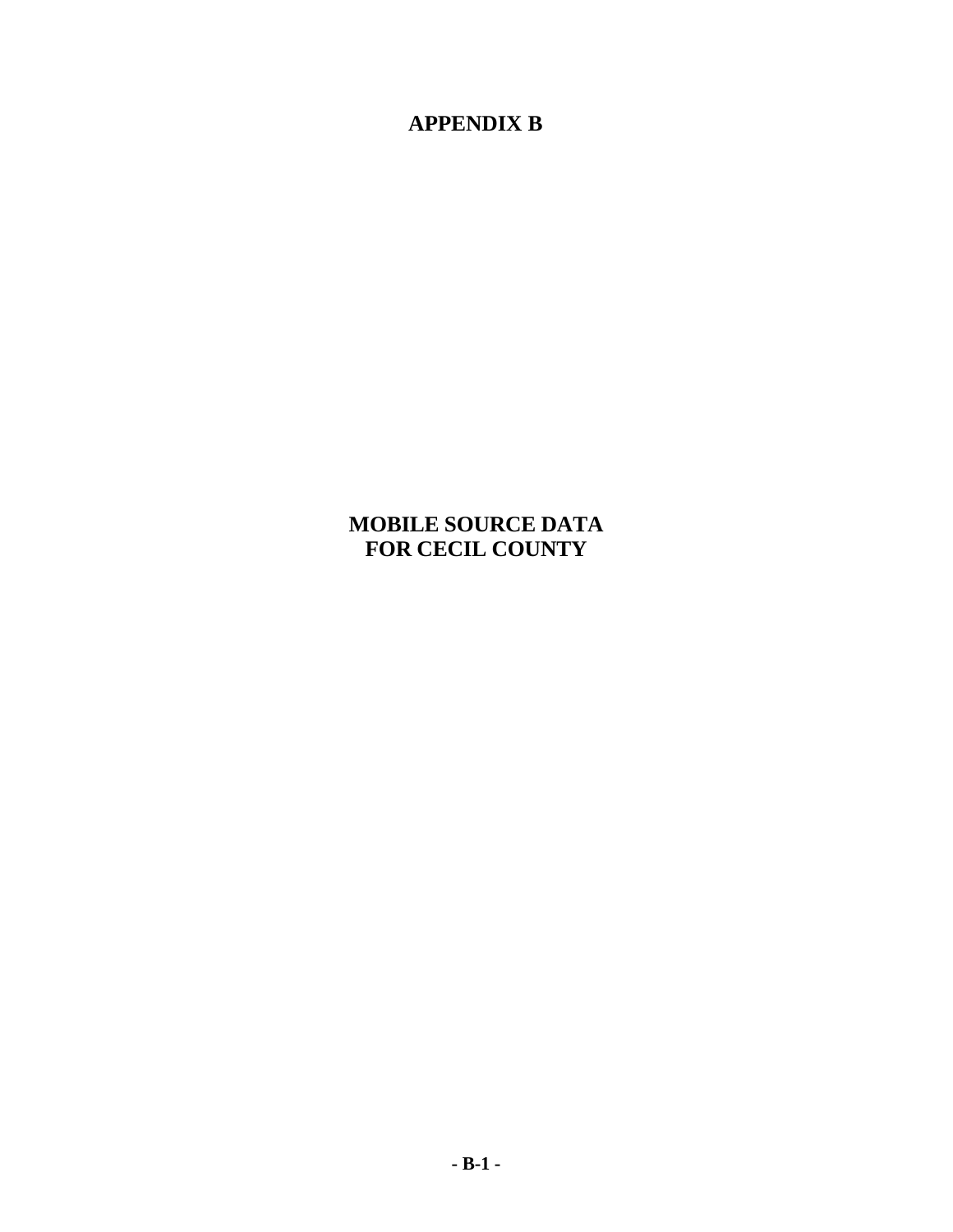**APPENDIX B**

**MOBILE SOURCE DATA FOR CECIL COUNTY**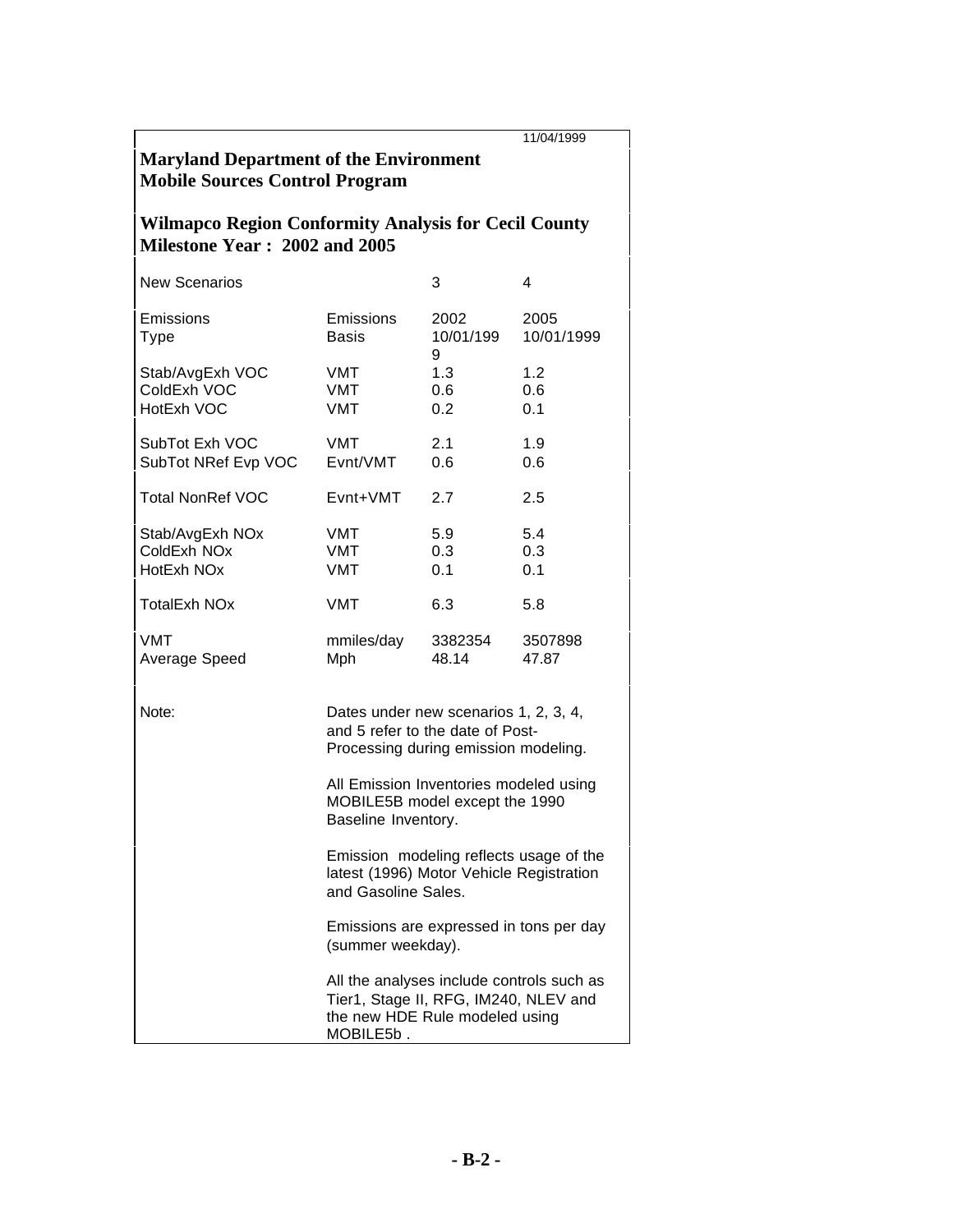|                                                                                              |                                                                                                                                   |                        | 11/04/1999         |  |  |  |  |  |
|----------------------------------------------------------------------------------------------|-----------------------------------------------------------------------------------------------------------------------------------|------------------------|--------------------|--|--|--|--|--|
| <b>Maryland Department of the Environment</b><br><b>Mobile Sources Control Program</b>       |                                                                                                                                   |                        |                    |  |  |  |  |  |
| <b>Wilmapco Region Conformity Analysis for Cecil County</b><br>Milestone Year: 2002 and 2005 |                                                                                                                                   |                        |                    |  |  |  |  |  |
| <b>New Scenarios</b>                                                                         |                                                                                                                                   | 3                      | 4                  |  |  |  |  |  |
| Emissions<br><b>Type</b>                                                                     | Emissions<br><b>Basis</b>                                                                                                         | 2002<br>10/01/199<br>9 | 2005<br>10/01/1999 |  |  |  |  |  |
| Stab/AvgExh VOC<br>ColdExh VOC<br>HotExh VOC                                                 | VMT<br>VMT<br>VMT                                                                                                                 | 1.3<br>0.6<br>0.2      | 1.2<br>0.6<br>0.1  |  |  |  |  |  |
| SubTot Exh VOC<br>SubTot NRef Evp VOC                                                        | <b>VMT</b><br>Evnt/VMT                                                                                                            | 2.1<br>0.6             | 1.9<br>0.6         |  |  |  |  |  |
| <b>Total NonRef VOC</b>                                                                      | Evnt+VMT                                                                                                                          | 2.7                    | 2.5                |  |  |  |  |  |
| Stab/AvgExh NOx<br>ColdExh NO <sub>x</sub><br>HotExh NOx                                     | VMT<br>VMT<br>VMT                                                                                                                 | 5.9<br>0.3<br>0.1      | 5.4<br>0.3<br>0.1  |  |  |  |  |  |
| <b>TotalExh NOx</b>                                                                          | <b>VMT</b>                                                                                                                        | 6.3                    | 5.8                |  |  |  |  |  |
| VMT<br>Average Speed                                                                         | mmiles/day<br>Mph                                                                                                                 | 3382354<br>48.14       | 3507898<br>47.87   |  |  |  |  |  |
| Note:                                                                                        | Dates under new scenarios 1, 2, 3, 4,<br>and 5 refer to the date of Post-<br>Processing during emission modeling.                 |                        |                    |  |  |  |  |  |
|                                                                                              | All Emission Inventories modeled using<br>MOBILE5B model except the 1990<br>Baseline Inventory.                                   |                        |                    |  |  |  |  |  |
|                                                                                              | Emission modeling reflects usage of the<br>latest (1996) Motor Vehicle Registration<br>and Gasoline Sales.                        |                        |                    |  |  |  |  |  |
|                                                                                              | Emissions are expressed in tons per day<br>(summer weekday).                                                                      |                        |                    |  |  |  |  |  |
|                                                                                              | All the analyses include controls such as<br>Tier1, Stage II, RFG, IM240, NLEV and<br>the new HDE Rule modeled using<br>MOBILE5b. |                        |                    |  |  |  |  |  |